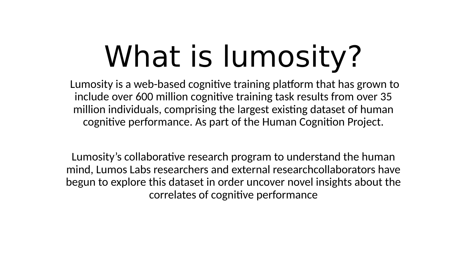# What is lumosity?

Lumosity is a web-based cognitive training platform that has grown to include over 600 million cognitive training task results from over 35 million individuals, comprising the largest existing dataset of human cognitive performance. As part of the Human Cognition Project.

Lumosity's collaborative research program to understand the human mind, Lumos Labs researchers and external researchcollaborators have begun to explore this dataset in order uncover novel insights about the correlates of cognitive performance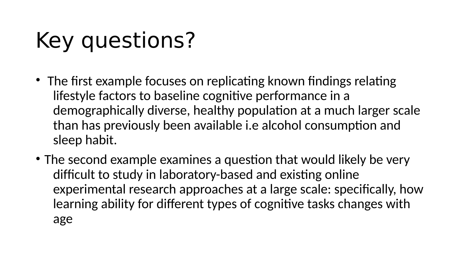## Key questions?

- The first example focuses on replicating known findings relating lifestyle factors to baseline cognitive performance in a demographically diverse, healthy population at a much larger scale than has previously been available i.e alcohol consumption and sleep habit.
- The second example examines a question that would likely be very difficult to study in laboratory-based and existing online experimental research approaches at a large scale: specifically, how learning ability for different types of cognitive tasks changes with age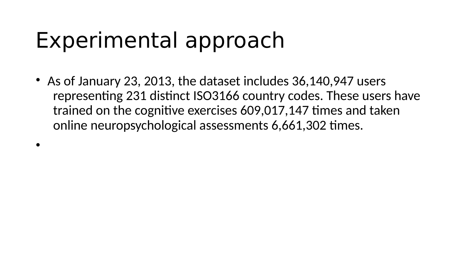#### Experimental approach

•

• As of January 23, 2013, the dataset includes 36,140,947 users representing 231 distinct ISO3166 country codes. These users have trained on the cognitive exercises 609,017,147 times and taken online neuropsychological assessments 6,661,302 times.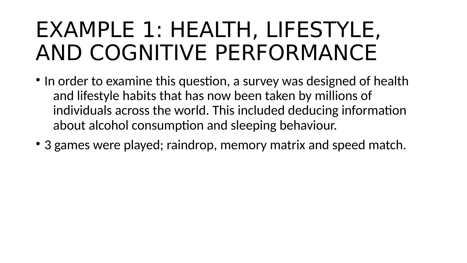#### EXAMPLE 1: HEALTH, LIFESTYLE, AND COGNITIVE PERFORMANCE

- In order to examine this question, a survey was designed of health and lifestyle habits that has now been taken by millions of individuals across the world. This included deducing information about alcohol consumption and sleeping behaviour.
- 3 games were played; raindrop, memory matrix and speed match.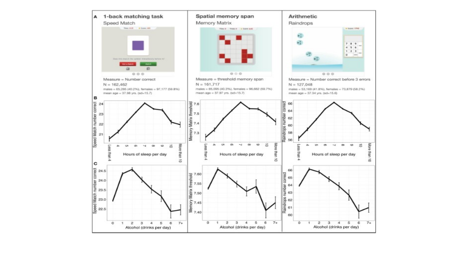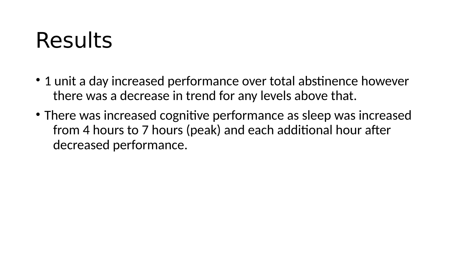#### Results

- 1 unit a day increased performance over total abstinence however there was a decrease in trend for any levels above that.
- There was increased cognitive performance as sleep was increased from 4 hours to 7 hours (peak) and each additional hour after decreased performance.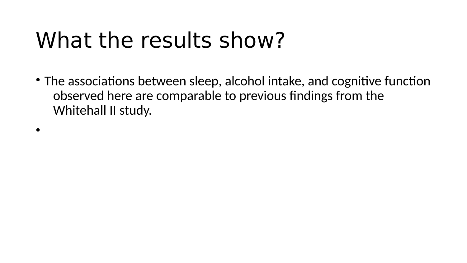### What the results show?

• The associations between sleep, alcohol intake, and cognitive function observed here are comparable to previous findings from the Whitehall II study.

•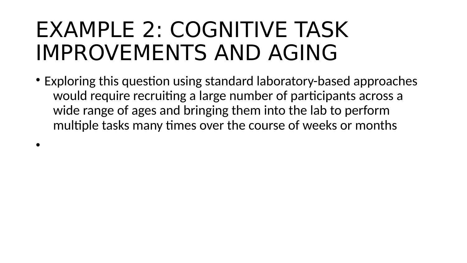#### EXAMPLE 2: COGNITIVE TASK IMPROVEMENTS AND AGING

•

• Exploring this question using standard laboratory-based approaches would require recruiting a large number of participants across a wide range of ages and bringing them into the lab to perform multiple tasks many times over the course of weeks or months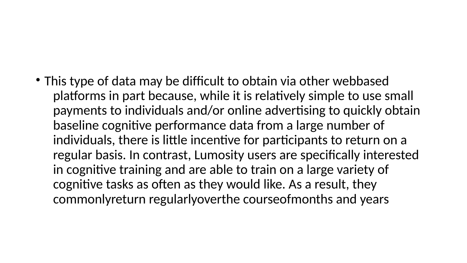• This type of data may be difficult to obtain via other webbased platforms in part because, while it is relatively simple to use small payments to individuals and/or online advertising to quickly obtain baseline cognitive performance data from a large number of individuals, there is little incentive for participants to return on a regular basis. In contrast, Lumosity users are specifically interested in cognitive training and are able to train on a large variety of cognitive tasks as often as they would like. As a result, they commonlyreturn regularlyoverthe courseofmonths and years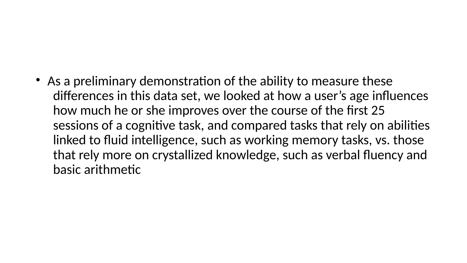#### • As a preliminary demonstration of the ability to measure these differences in this data set, we looked at how a user's age influences how much he or she improves over the course of the first 25 sessions of a cognitive task, and compared tasks that rely on abilities linked to fluid intelligence, such as working memory tasks, vs. those that rely more on crystallized knowledge, such as verbal fluency and

basic arithmetic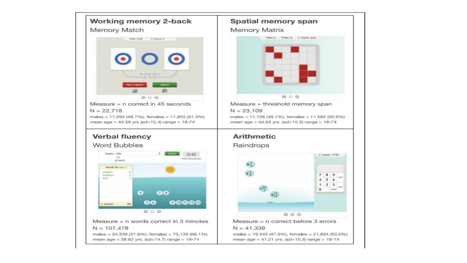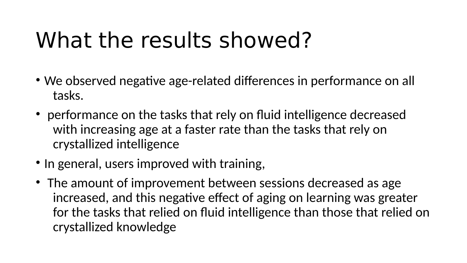### What the results showed?

- We observed negative age-related differences in performance on all tasks.
- performance on the tasks that rely on fluid intelligence decreased with increasing age at a faster rate than the tasks that rely on crystallized intelligence
- In general, users improved with training,
- The amount of improvement between sessions decreased as age increased, and this negative effect of aging on learning was greater for the tasks that relied on fluid intelligence than those that relied on crystallized knowledge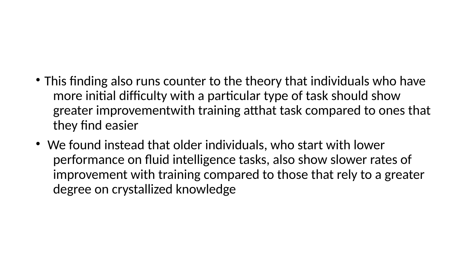#### • This finding also runs counter to the theory that individuals who have more initial difficulty with a particular type of task should show greater improvementwith training atthat task compared to ones that they find easier

• We found instead that older individuals, who start with lower performance on fluid intelligence tasks, also show slower rates of improvement with training compared to those that rely to a greater degree on crystallized knowledge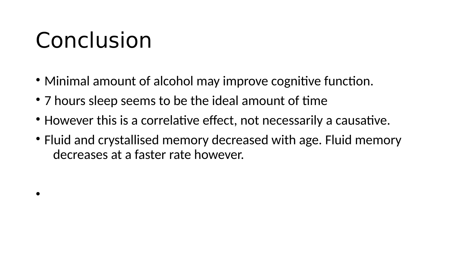## Conclusion

•

- Minimal amount of alcohol may improve cognitive function.
- 7 hours sleep seems to be the ideal amount of time
- However this is a correlative effect, not necessarily a causative.
- Fluid and crystallised memory decreased with age. Fluid memory decreases at a faster rate however.